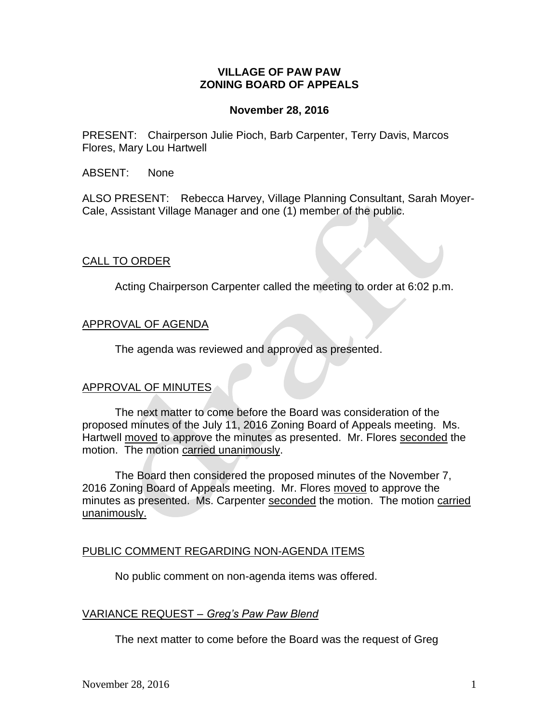# **VILLAGE OF PAW PAW ZONING BOARD OF APPEALS**

### **November 28, 2016**

PRESENT: Chairperson Julie Pioch, Barb Carpenter, Terry Davis, Marcos Flores, Mary Lou Hartwell

ABSENT: None

ALSO PRESENT: Rebecca Harvey, Village Planning Consultant, Sarah Moyer-Cale, Assistant Village Manager and one (1) member of the public.

### CALL TO ORDER

Acting Chairperson Carpenter called the meeting to order at 6:02 p.m.

### APPROVAL OF AGENDA

The agenda was reviewed and approved as presented.

#### APPROVAL OF MINUTES

The next matter to come before the Board was consideration of the proposed minutes of the July 11, 2016 Zoning Board of Appeals meeting. Ms. Hartwell moved to approve the minutes as presented. Mr. Flores seconded the motion. The motion carried unanimously.

The Board then considered the proposed minutes of the November 7, 2016 Zoning Board of Appeals meeting. Mr. Flores moved to approve the minutes as presented. Ms. Carpenter seconded the motion. The motion carried unanimously.

#### PUBLIC COMMENT REGARDING NON-AGENDA ITEMS

No public comment on non-agenda items was offered.

# VARIANCE REQUEST *– Greg's Paw Paw Blend*

The next matter to come before the Board was the request of Greg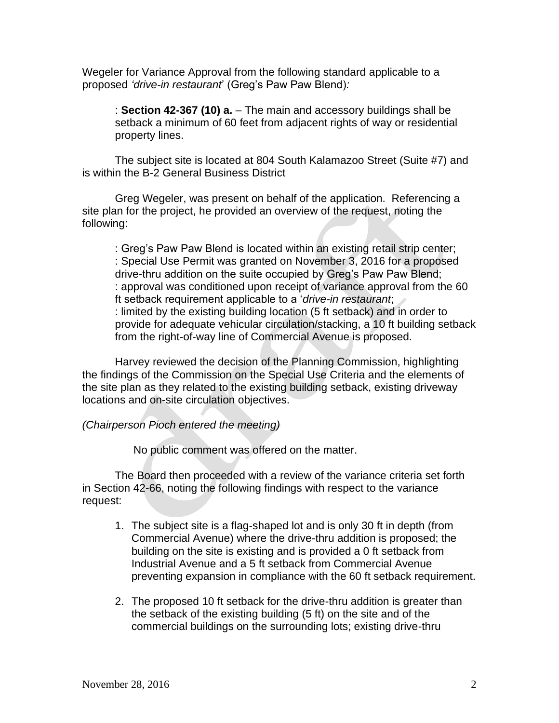Wegeler for Variance Approval from the following standard applicable to a proposed *'drive-in restaurant*' (Greg's Paw Paw Blend)*:*

: **Section 42-367 (10) a.** – The main and accessory buildings shall be setback a minimum of 60 feet from adjacent rights of way or residential property lines.

The subject site is located at 804 South Kalamazoo Street (Suite #7) and is within the B-2 General Business District

Greg Wegeler, was present on behalf of the application. Referencing a site plan for the project, he provided an overview of the request, noting the following:

: Greg's Paw Paw Blend is located within an existing retail strip center; : Special Use Permit was granted on November 3, 2016 for a proposed drive-thru addition on the suite occupied by Greg's Paw Paw Blend; : approval was conditioned upon receipt of variance approval from the 60 ft setback requirement applicable to a '*drive-in restaurant*; : limited by the existing building location (5 ft setback) and in order to provide for adequate vehicular circulation/stacking, a 10 ft building setback from the right-of-way line of Commercial Avenue is proposed.

Harvey reviewed the decision of the Planning Commission, highlighting the findings of the Commission on the Special Use Criteria and the elements of the site plan as they related to the existing building setback, existing driveway locations and on-site circulation objectives.

#### *(Chairperson Pioch entered the meeting)*

No public comment was offered on the matter.

The Board then proceeded with a review of the variance criteria set forth in Section 42-66, noting the following findings with respect to the variance request:

- 1. The subject site is a flag-shaped lot and is only 30 ft in depth (from Commercial Avenue) where the drive-thru addition is proposed; the building on the site is existing and is provided a 0 ft setback from Industrial Avenue and a 5 ft setback from Commercial Avenue preventing expansion in compliance with the 60 ft setback requirement.
- 2. The proposed 10 ft setback for the drive-thru addition is greater than the setback of the existing building (5 ft) on the site and of the commercial buildings on the surrounding lots; existing drive-thru